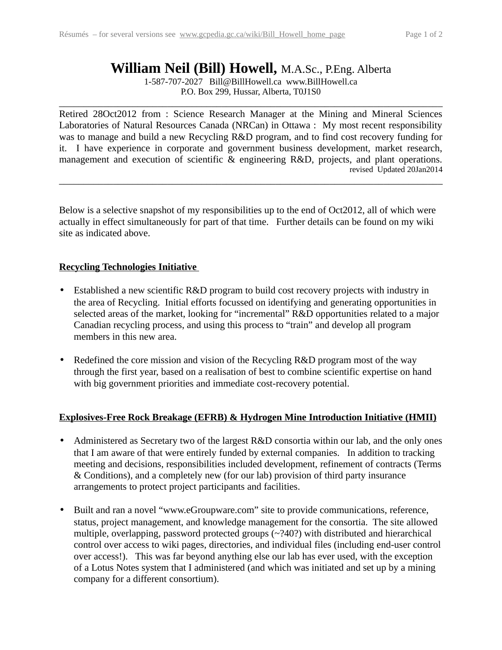# **William Neil (Bill) Howell,** M.A.Sc., P.Eng. Alberta

1-587-707-2027 Bill@BillHowell.ca www.BillHowell.ca P.O. Box 299, Hussar, Alberta, T0J1S0

 $\_$  , and the set of the set of the set of the set of the set of the set of the set of the set of the set of the set of the set of the set of the set of the set of the set of the set of the set of the set of the set of th

Retired 28Oct2012 from : Science Research Manager at the Mining and Mineral Sciences Laboratories of Natural Resources Canada (NRCan) in Ottawa : My most recent responsibility was to manage and build a new Recycling R&D program, and to find cost recovery funding for it. I have experience in corporate and government business development, market research, management and execution of scientific & engineering R&D, projects, and plant operations. revised Updated 20Jan2014

\_\_\_\_\_\_\_\_\_\_\_\_\_\_\_\_\_\_\_\_\_\_\_\_\_\_\_\_\_\_\_\_\_\_\_\_\_\_\_\_\_\_\_\_\_\_\_\_\_\_\_\_\_\_\_\_\_\_\_\_\_\_\_\_\_\_\_\_\_\_\_\_\_\_\_\_\_\_

Below is a selective snapshot of my responsibilities up to the end of Oct2012, all of which were actually in effect simultaneously for part of that time. Further details can be found on my wiki site as indicated above.

## **Recycling Technologies Initiative**

- Established a new scientific R&D program to build cost recovery projects with industry in the area of Recycling. Initial efforts focussed on identifying and generating opportunities in selected areas of the market, looking for "incremental" R&D opportunities related to a major Canadian recycling process, and using this process to "train" and develop all program members in this new area.
- Redefined the core mission and vision of the Recycling R&D program most of the way through the first year, based on a realisation of best to combine scientific expertise on hand with big government priorities and immediate cost-recovery potential.

## **Explosives-Free Rock Breakage (EFRB) & Hydrogen Mine Introduction Initiative (HMII)**

- Administered as Secretary two of the largest R&D consortia within our lab, and the only ones that I am aware of that were entirely funded by external companies. In addition to tracking meeting and decisions, responsibilities included development, refinement of contracts (Terms & Conditions), and a completely new (for our lab) provision of third party insurance arrangements to protect project participants and facilities.
- Built and ran a novel "www.eGroupware.com" site to provide communications, reference, status, project management, and knowledge management for the consortia. The site allowed multiple, overlapping, password protected groups (~?40?) with distributed and hierarchical control over access to wiki pages, directories, and individual files (including end-user control over access!). This was far beyond anything else our lab has ever used, with the exception of a Lotus Notes system that I administered (and which was initiated and set up by a mining company for a different consortium).